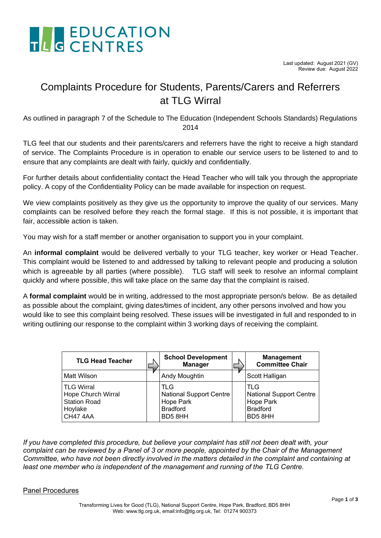

### Complaints Procedure for Students, Parents/Carers and Referrers at TLG Wirral

As outlined in paragraph 7 of the Schedule to The Education (Independent Schools Standards) Regulations 2014

TLG feel that our students and their parents/carers and referrers have the right to receive a high standard of service. The Complaints Procedure is in operation to enable our service users to be listened to and to ensure that any complaints are dealt with fairly, quickly and confidentially.

For further details about confidentiality contact the Head Teacher who will talk you through the appropriate policy. A copy of the Confidentiality Policy can be made available for inspection on request.

We view complaints positively as they give us the opportunity to improve the quality of our services. Many complaints can be resolved before they reach the formal stage. If this is not possible, it is important that fair, accessible action is taken.

You may wish for a staff member or another organisation to support you in your complaint.

An **informal complaint** would be delivered verbally to your TLG teacher, key worker or Head Teacher. This complaint would be listened to and addressed by talking to relevant people and producing a solution which is agreeable by all parties (where possible). TLG staff will seek to resolve an informal complaint quickly and where possible, this will take place on the same day that the complaint is raised.

A **formal complaint** would be in writing, addressed to the most appropriate person/s below. Be as detailed as possible about the complaint, giving dates/times of incident, any other persons involved and how you would like to see this complaint being resolved. These issues will be investigated in full and responded to in writing outlining our response to the complaint within 3 working days of receiving the complaint.

| <b>TLG Head Teacher</b>                                                              | <b>School Development</b><br><b>Manager</b>                                     | <b>Management</b><br><b>Committee Chair</b>                                            |
|--------------------------------------------------------------------------------------|---------------------------------------------------------------------------------|----------------------------------------------------------------------------------------|
| Matt Wilson                                                                          | Andy Moughtin                                                                   | Scott Halligan                                                                         |
| <b>TLG Wirral</b><br>Hope Church Wirral<br><b>Station Road</b><br>Hoylake<br>CH474AA | TLG<br><b>National Support Centre</b><br>Hope Park<br><b>Bradford</b><br>BD58HH | <b>TLG</b><br><b>National Support Centre</b><br>Hope Park<br><b>Bradford</b><br>BD58HH |

*If you have completed this procedure, but believe your complaint has still not been dealt with, your complaint can be reviewed by a Panel of 3 or more people, appointed by the Chair of the Management Committee, who have not been directly involved in the matters detailed in the complaint and containing at least one member who is independent of the management and running of the TLG Centre.*

### Panel Procedures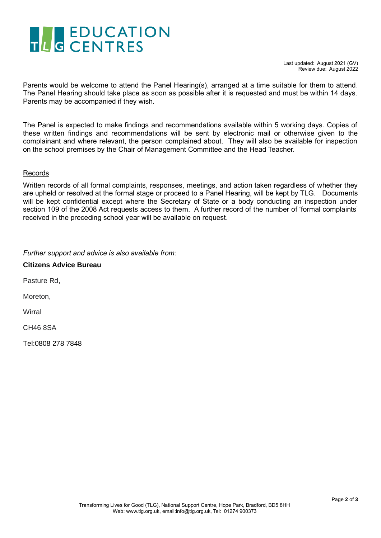# THE EDUCATION

Parents would be welcome to attend the Panel Hearing(s), arranged at a time suitable for them to attend. The Panel Hearing should take place as soon as possible after it is requested and must be within 14 days. Parents may be accompanied if they wish.

The Panel is expected to make findings and recommendations available within 5 working days. Copies of these written findings and recommendations will be sent by electronic mail or otherwise given to the complainant and where relevant, the person complained about. They will also be available for inspection on the school premises by the Chair of Management Committee and the Head Teacher.

### Records

Written records of all formal complaints, responses, meetings, and action taken regardless of whether they are upheld or resolved at the formal stage or proceed to a Panel Hearing, will be kept by TLG. Documents will be kept confidential except where the Secretary of State or a body conducting an inspection under section 109 of the 2008 Act requests access to them. A further record of the number of 'formal complaints' received in the preceding school year will be available on request.

*Further support and advice is also available from:*

**Citizens Advice Bureau** 

Pasture Rd,

Moreton,

**Wirral** 

CH46 8SA

Tel:0808 278 7848